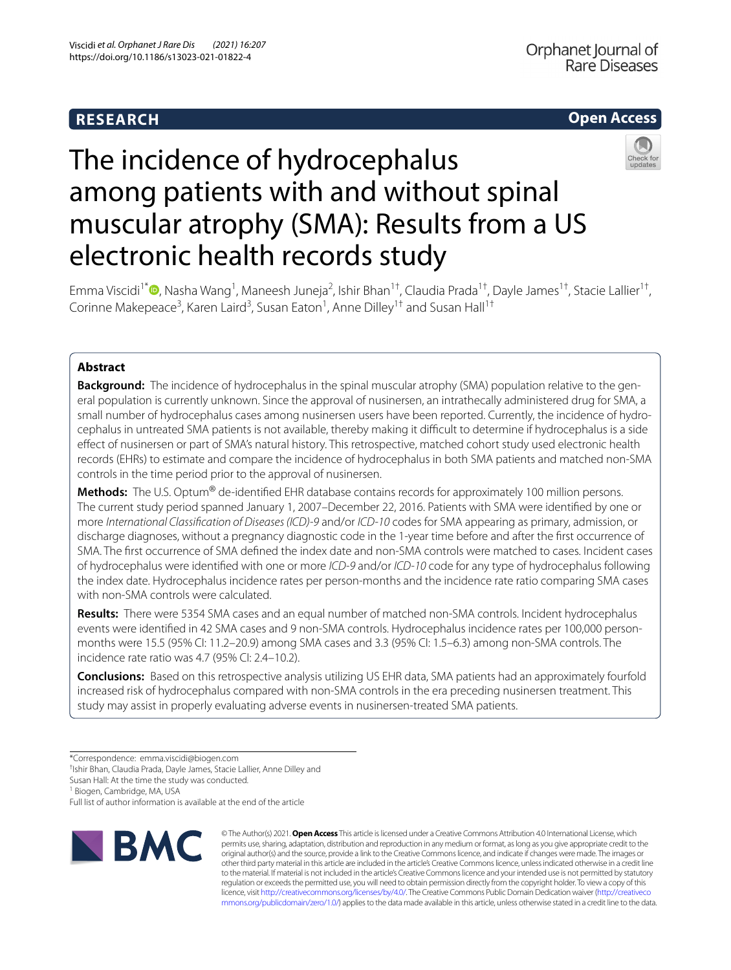# **RESEARCH**

# **Open Access**



# The incidence of hydrocephalus among patients with and without spinal muscular atrophy (SMA): Results from a US electronic health records study

Emma Viscidi<sup>1[\\*](http://orcid.org/0000-0002-8242-8216)</sup><sup>®</sup>, Nasha Wang<sup>1</sup>, Maneesh Juneja<sup>2</sup>, Ishir Bhan<sup>1†</sup>, Claudia Prada<sup>1†</sup>, Dayle James<sup>1†</sup>, Stacie Lallier<sup>1†</sup>, Corinne Makepeace<sup>3</sup>, Karen Laird<sup>3</sup>, Susan Eaton<sup>1</sup>, Anne Dilley<sup>1†</sup> and Susan Hall<sup>1†</sup>

# **Abstract**

**Background:** The incidence of hydrocephalus in the spinal muscular atrophy (SMA) population relative to the general population is currently unknown. Since the approval of nusinersen, an intrathecally administered drug for SMA, a small number of hydrocephalus cases among nusinersen users have been reported. Currently, the incidence of hydrocephalus in untreated SMA patients is not available, thereby making it difficult to determine if hydrocephalus is a side efect of nusinersen or part of SMA's natural history. This retrospective, matched cohort study used electronic health records (EHRs) to estimate and compare the incidence of hydrocephalus in both SMA patients and matched non-SMA controls in the time period prior to the approval of nusinersen.

**Methods:** The U.S. Optum® de-identifed EHR database contains records for approximately 100 million persons. The current study period spanned January 1, 2007–December 22, 2016. Patients with SMA were identifed by one or more *International Classifcation of Diseases (ICD)-9* and/or *ICD-10* codes for SMA appearing as primary, admission, or discharge diagnoses, without a pregnancy diagnostic code in the 1-year time before and after the frst occurrence of SMA. The frst occurrence of SMA defned the index date and non-SMA controls were matched to cases. Incident cases of hydrocephalus were identifed with one or more *ICD-9* and/or *ICD-10* code for any type of hydrocephalus following the index date. Hydrocephalus incidence rates per person-months and the incidence rate ratio comparing SMA cases with non-SMA controls were calculated.

**Results:** There were 5354 SMA cases and an equal number of matched non-SMA controls. Incident hydrocephalus events were identifed in 42 SMA cases and 9 non-SMA controls. Hydrocephalus incidence rates per 100,000 personmonths were 15.5 (95% CI: 11.2–20.9) among SMA cases and 3.3 (95% CI: 1.5–6.3) among non-SMA controls. The incidence rate ratio was 4.7 (95% CI: 2.4–10.2).

**Conclusions:** Based on this retrospective analysis utilizing US EHR data, SMA patients had an approximately fourfold increased risk of hydrocephalus compared with non-SMA controls in the era preceding nusinersen treatment. This study may assist in properly evaluating adverse events in nusinersen-treated SMA patients.

† Ishir Bhan, Claudia Prada, Dayle James, Stacie Lallier, Anne Dilley and

<sup>1</sup> Biogen, Cambridge, MA, USA

Full list of author information is available at the end of the article



© The Author(s) 2021. **Open Access** This article is licensed under a Creative Commons Attribution 4.0 International License, which permits use, sharing, adaptation, distribution and reproduction in any medium or format, as long as you give appropriate credit to the original author(s) and the source, provide a link to the Creative Commons licence, and indicate if changes were made. The images or other third party material in this article are included in the article's Creative Commons licence, unless indicated otherwise in a credit line to the material. If material is not included in the article's Creative Commons licence and your intended use is not permitted by statutory regulation or exceeds the permitted use, you will need to obtain permission directly from the copyright holder. To view a copy of this licence, visit [http://creativecommons.org/licenses/by/4.0/.](http://creativecommons.org/licenses/by/4.0/) The Creative Commons Public Domain Dedication waiver ([http://creativeco](http://creativecommons.org/publicdomain/zero/1.0/) [mmons.org/publicdomain/zero/1.0/](http://creativecommons.org/publicdomain/zero/1.0/)) applies to the data made available in this article, unless otherwise stated in a credit line to the data.

<sup>\*</sup>Correspondence: emma.viscidi@biogen.com

Susan Hall: At the time the study was conducted.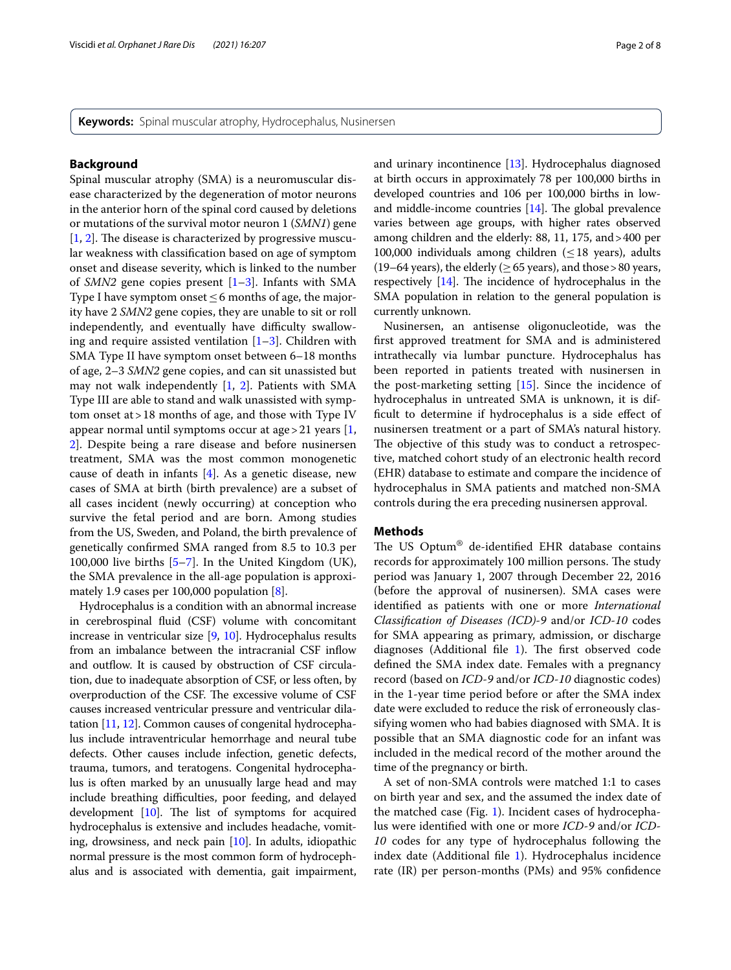**Keywords:** Spinal muscular atrophy, Hydrocephalus, Nusinersen

# **Background**

Spinal muscular atrophy (SMA) is a neuromuscular disease characterized by the degeneration of motor neurons in the anterior horn of the spinal cord caused by deletions or mutations of the survival motor neuron 1 (*SMN1*) gene  $[1, 2]$  $[1, 2]$  $[1, 2]$  $[1, 2]$  $[1, 2]$ . The disease is characterized by progressive muscular weakness with classifcation based on age of symptom onset and disease severity, which is linked to the number of *SMN2* gene copies present [\[1–](#page-6-0)[3\]](#page-6-2). Infants with SMA Type I have symptom onset≤6 months of age, the majority have 2 *SMN2* gene copies, they are unable to sit or roll independently, and eventually have difficulty swallowing and require assisted ventilation  $[1-3]$  $[1-3]$  $[1-3]$ . Children with SMA Type II have symptom onset between 6–18 months of age, 2–3 *SMN2* gene copies, and can sit unassisted but may not walk independently [\[1](#page-6-0), [2\]](#page-6-1). Patients with SMA Type III are able to stand and walk unassisted with symptom onset at>18 months of age, and those with Type IV appear normal until symptoms occur at age > 21 years  $[1, 1]$  $[1, 1]$ [2\]](#page-6-1). Despite being a rare disease and before nusinersen treatment, SMA was the most common monogenetic cause of death in infants  $[4]$  $[4]$ . As a genetic disease, new cases of SMA at birth (birth prevalence) are a subset of all cases incident (newly occurring) at conception who survive the fetal period and are born. Among studies from the US, Sweden, and Poland, the birth prevalence of genetically confrmed SMA ranged from 8.5 to 10.3 per 100,000 live births  $[5–7]$  $[5–7]$  $[5–7]$  $[5–7]$ . In the United Kingdom (UK), the SMA prevalence in the all-age population is approximately 1.9 cases per 100,000 population [\[8](#page-6-6)].

Hydrocephalus is a condition with an abnormal increase in cerebrospinal fuid (CSF) volume with concomitant increase in ventricular size [\[9,](#page-6-7) [10\]](#page-6-8). Hydrocephalus results from an imbalance between the intracranial CSF infow and outflow. It is caused by obstruction of CSF circulation, due to inadequate absorption of CSF, or less often, by overproduction of the CSF. The excessive volume of CSF causes increased ventricular pressure and ventricular dilatation [[11](#page-6-9), [12](#page-6-10)]. Common causes of congenital hydrocephalus include intraventricular hemorrhage and neural tube defects. Other causes include infection, genetic defects, trauma, tumors, and teratogens. Congenital hydrocephalus is often marked by an unusually large head and may include breathing difficulties, poor feeding, and delayed development  $[10]$  $[10]$  $[10]$ . The list of symptoms for acquired hydrocephalus is extensive and includes headache, vomiting, drowsiness, and neck pain [\[10\]](#page-6-8). In adults, idiopathic normal pressure is the most common form of hydrocephalus and is associated with dementia, gait impairment, and urinary incontinence [\[13\]](#page-6-11). Hydrocephalus diagnosed at birth occurs in approximately 78 per 100,000 births in developed countries and 106 per 100,000 births in lowand middle-income countries  $[14]$ . The global prevalence varies between age groups, with higher rates observed among children and the elderly: 88, 11, 175, and>400 per

100,000 individuals among children ( $\leq$  18 years), adults (19–64 years), the elderly ( $\geq$  65 years), and those > 80 years, respectively  $[14]$ . The incidence of hydrocephalus in the SMA population in relation to the general population is currently unknown.

Nusinersen, an antisense oligonucleotide, was the frst approved treatment for SMA and is administered intrathecally via lumbar puncture. Hydrocephalus has been reported in patients treated with nusinersen in the post-marketing setting [\[15\]](#page-6-13). Since the incidence of hydrocephalus in untreated SMA is unknown, it is diffcult to determine if hydrocephalus is a side efect of nusinersen treatment or a part of SMA's natural history. The objective of this study was to conduct a retrospective, matched cohort study of an electronic health record (EHR) database to estimate and compare the incidence of hydrocephalus in SMA patients and matched non-SMA controls during the era preceding nusinersen approval.

# **Methods**

The US Optum® de-identified EHR database contains records for approximately 100 million persons. The study period was January 1, 2007 through December 22, 2016 (before the approval of nusinersen). SMA cases were identifed as patients with one or more *International Classifcation of Diseases (ICD)-9* and/or *ICD-10* codes for SMA appearing as primary, admission, or discharge diagnoses (Additional file  $1$ ). The first observed code defned the SMA index date. Females with a pregnancy record (based on *ICD-9* and/or *ICD-10* diagnostic codes) in the 1-year time period before or after the SMA index date were excluded to reduce the risk of erroneously classifying women who had babies diagnosed with SMA. It is possible that an SMA diagnostic code for an infant was included in the medical record of the mother around the time of the pregnancy or birth.

A set of non-SMA controls were matched 1:1 to cases on birth year and sex, and the assumed the index date of the matched case (Fig. [1\)](#page-2-0). Incident cases of hydrocephalus were identifed with one or more *ICD-9* and/or *ICD-10* codes for any type of hydrocephalus following the index date (Additional fle [1](#page-6-14)). Hydrocephalus incidence rate (IR) per person-months (PMs) and 95% confdence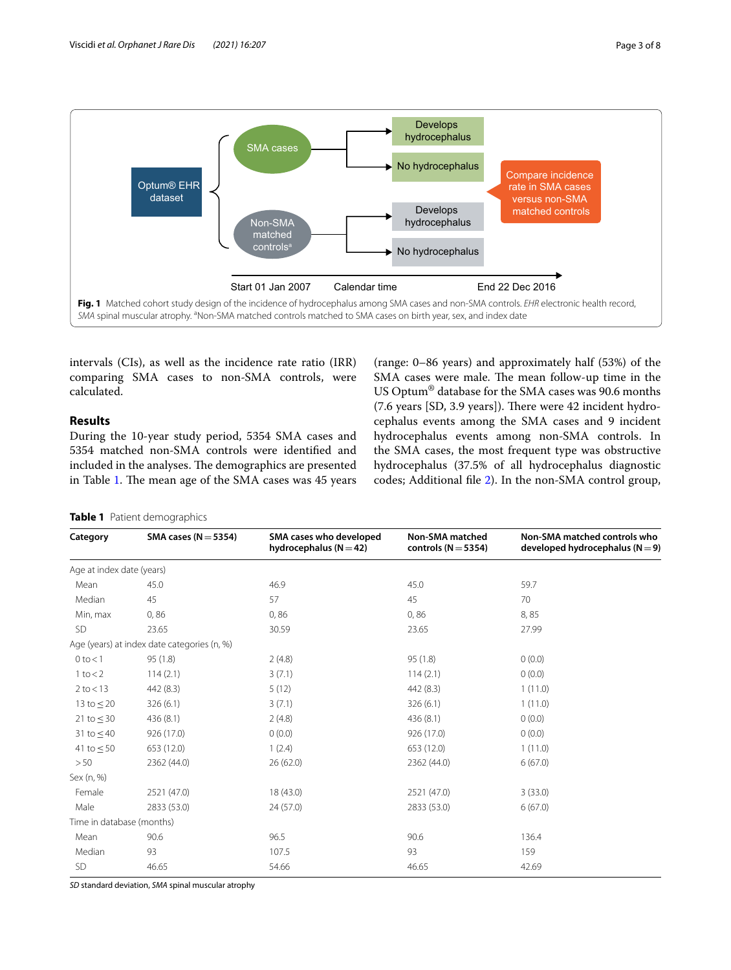

<span id="page-2-0"></span>intervals (CIs), as well as the incidence rate ratio (IRR) comparing SMA cases to non-SMA controls, were calculated.

# **Results**

During the 10-year study period, 5354 SMA cases and 5354 matched non-SMA controls were identifed and included in the analyses. The demographics are presented in Table [1.](#page-2-1) The mean age of the SMA cases was 45 years

(range: 0–86 years) and approximately half (53%) of the SMA cases were male. The mean follow-up time in the US Optum® database for the SMA cases was 90.6 months  $(7.6 \text{ years}$   $[SD, 3.9 \text{ years}]$ ). There were 42 incident hydrocephalus events among the SMA cases and 9 incident hydrocephalus events among non-SMA controls. In the SMA cases, the most frequent type was obstructive hydrocephalus (37.5% of all hydrocephalus diagnostic codes; Additional fle [2](#page-6-15)). In the non-SMA control group,

<span id="page-2-1"></span>

|  |  | Table 1 Patient demographics |  |
|--|--|------------------------------|--|
|--|--|------------------------------|--|

| Category                  | SMA cases ( $N = 5354$ )                    | SMA cases who developed<br>hydrocephalus ( $N = 42$ ) | <b>Non-SMA matched</b><br>controls ( $N = 5354$ ) | Non-SMA matched controls who<br>developed hydrocephalus ( $N = 9$ ) |
|---------------------------|---------------------------------------------|-------------------------------------------------------|---------------------------------------------------|---------------------------------------------------------------------|
| Age at index date (years) |                                             |                                                       |                                                   |                                                                     |
| Mean                      | 45.0                                        | 46.9                                                  | 45.0                                              | 59.7                                                                |
| Median                    | 45                                          | 57                                                    | 45                                                | 70                                                                  |
| Min, max                  | 0,86                                        | 0,86                                                  | 0,86                                              | 8,85                                                                |
| SD                        | 23.65                                       | 30.59                                                 | 23.65                                             | 27.99                                                               |
|                           | Age (years) at index date categories (n, %) |                                                       |                                                   |                                                                     |
| $0$ to $< 1$              | 95(1.8)                                     | 2(4.8)                                                | 95(1.8)                                           | 0(0.0)                                                              |
| $1$ to $<$ 2              | 114(2.1)                                    | 3(7.1)                                                | 114(2.1)                                          | 0(0.0)                                                              |
| $2$ to $<$ 13             | 442(8.3)                                    | 5(12)                                                 | 442 (8.3)                                         | 1(11.0)                                                             |
| 13 to $\leq$ 20           | 326(6.1)                                    | 3(7.1)                                                | 326(6.1)                                          | 1(11.0)                                                             |
| 21 to $\leq$ 30           | 436(8.1)                                    | 2(4.8)                                                | 436 (8.1)                                         | 0(0.0)                                                              |
| 31 to $\leq$ 40           | 926 (17.0)                                  | 0(0.0)                                                | 926 (17.0)                                        | 0(0.0)                                                              |
| 41 to $\leq$ 50           | 653 (12.0)                                  | 1(2.4)                                                | 653 (12.0)                                        | 1(11.0)                                                             |
| >50                       | 2362 (44.0)                                 | 26(62.0)                                              | 2362 (44.0)                                       | 6(67.0)                                                             |
| Sex (n, %)                |                                             |                                                       |                                                   |                                                                     |
| Female                    | 2521 (47.0)                                 | 18(43.0)                                              | 2521 (47.0)                                       | 3(33.0)                                                             |
| Male                      | 2833 (53.0)                                 | 24 (57.0)                                             | 2833 (53.0)                                       | 6(67.0)                                                             |
| Time in database (months) |                                             |                                                       |                                                   |                                                                     |
| Mean                      | 90.6                                        | 96.5                                                  | 90.6                                              | 136.4                                                               |
| Median                    | 93                                          | 107.5                                                 | 93                                                | 159                                                                 |
| <b>SD</b>                 | 46.65                                       | 54.66                                                 | 46.65                                             | 42.69                                                               |

*SD* standard deviation, *SMA* spinal muscular atrophy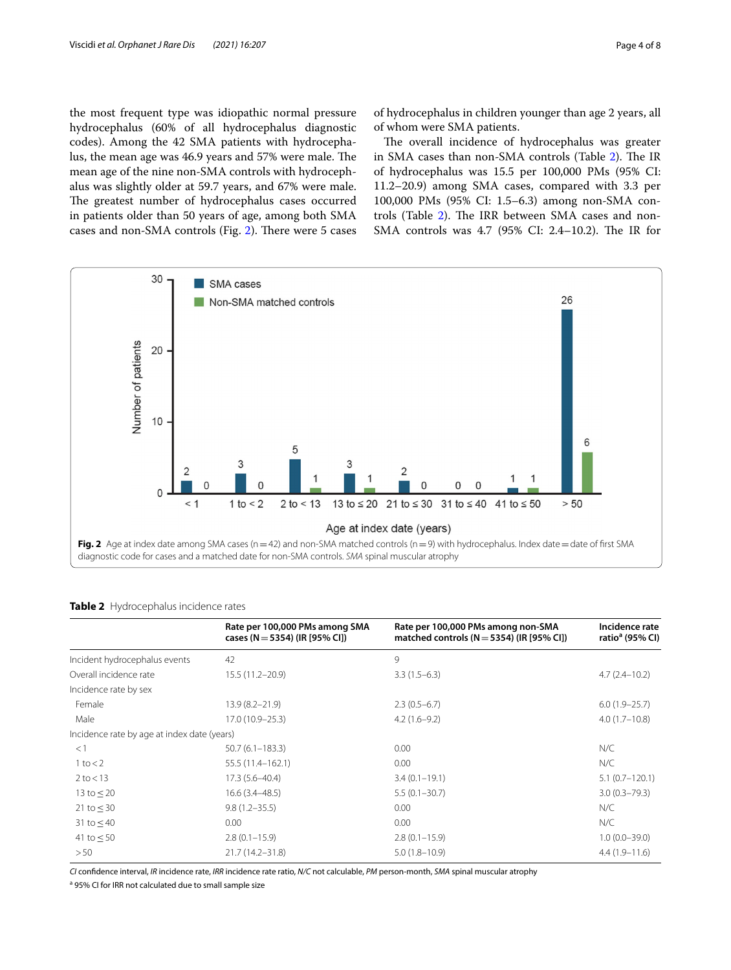the most frequent type was idiopathic normal pressure hydrocephalus (60% of all hydrocephalus diagnostic codes). Among the 42 SMA patients with hydrocephalus, the mean age was 46.9 years and 57% were male. The mean age of the nine non-SMA controls with hydrocephalus was slightly older at 59.7 years, and 67% were male. The greatest number of hydrocephalus cases occurred in patients older than 50 years of age, among both SMA cases and non-SMA controls (Fig. [2](#page-3-0)). There were 5 cases of hydrocephalus in children younger than age 2 years, all of whom were SMA patients.

The overall incidence of hydrocephalus was greater in SMA cases than non-SMA controls (Table [2\)](#page-3-1). The IR of hydrocephalus was 15.5 per 100,000 PMs (95% CI: 11.2–20.9) among SMA cases, compared with 3.3 per 100,000 PMs (95% CI: 1.5–6.3) among non-SMA con-trols (Table [2\)](#page-3-1). The IRR between SMA cases and non-SMA controls was 4.7 (95% CI: 2.4-10.2). The IR for



<span id="page-3-1"></span><span id="page-3-0"></span>

|                                             | Rate per 100,000 PMs among SMA<br>cases (N = 5354) (IR [95% CI]) | Rate per 100,000 PMs among non-SMA<br>matched controls ( $N = 5354$ ) (IR [95% CI]) | Incidence rate<br>ratio <sup>a</sup> (95% CI) |
|---------------------------------------------|------------------------------------------------------------------|-------------------------------------------------------------------------------------|-----------------------------------------------|
| Incident hydrocephalus events               | 42                                                               | 9                                                                                   |                                               |
| Overall incidence rate                      | $15.5(11.2 - 20.9)$                                              | $3.3(1.5-6.3)$                                                                      | $4.7(2.4 - 10.2)$                             |
| Incidence rate by sex                       |                                                                  |                                                                                     |                                               |
| Female                                      | $13.9(8.2 - 21.9)$                                               | $2.3(0.5-6.7)$                                                                      | $6.0(1.9-25.7)$                               |
| Male                                        | $17.0(10.9 - 25.3)$                                              | $4.2(1.6-9.2)$                                                                      | $4.0(1.7-10.8)$                               |
| Incidence rate by age at index date (years) |                                                                  |                                                                                     |                                               |
| <1                                          | $50.7(6.1 - 183.3)$                                              | 0.00                                                                                | N/C                                           |
| $1$ to $<$ 2                                | 55.5 (11.4-162.1)                                                | 0.00                                                                                | N/C                                           |
| $2$ to $<$ 13                               | $17.3(5.6 - 40.4)$                                               | $3.4(0.1 - 19.1)$                                                                   | $5.1(0.7 - 120.1)$                            |
| 13 to $< 20$                                | $16.6(3.4 - 48.5)$                                               | $5.5(0.1 - 30.7)$                                                                   | $3.0(0.3 - 79.3)$                             |
| 21 to $\leq$ 30                             | $9.8(1.2 - 35.5)$                                                | 0.00                                                                                | N/C                                           |
| 31 to $\leq$ 40                             | 0.00                                                             | 0.00                                                                                | N/C                                           |
| 41 to $\leq$ 50                             | $2.8(0.1 - 15.9)$                                                | $2.8(0.1 - 15.9)$                                                                   | $1.0(0.0 - 39.0)$                             |
| > 50                                        | 21.7 (14.2-31.8)                                                 | $5.0(1.8 - 10.9)$                                                                   | $4.4(1.9-11.6)$                               |
|                                             |                                                                  |                                                                                     |                                               |

*CI* confdence interval, *IR* incidence rate, *IRR* incidence rate ratio, *N/C* not calculable, *PM* person-month, *SMA* spinal muscular atrophy

<sup>a</sup> 95% CI for IRR not calculated due to small sample size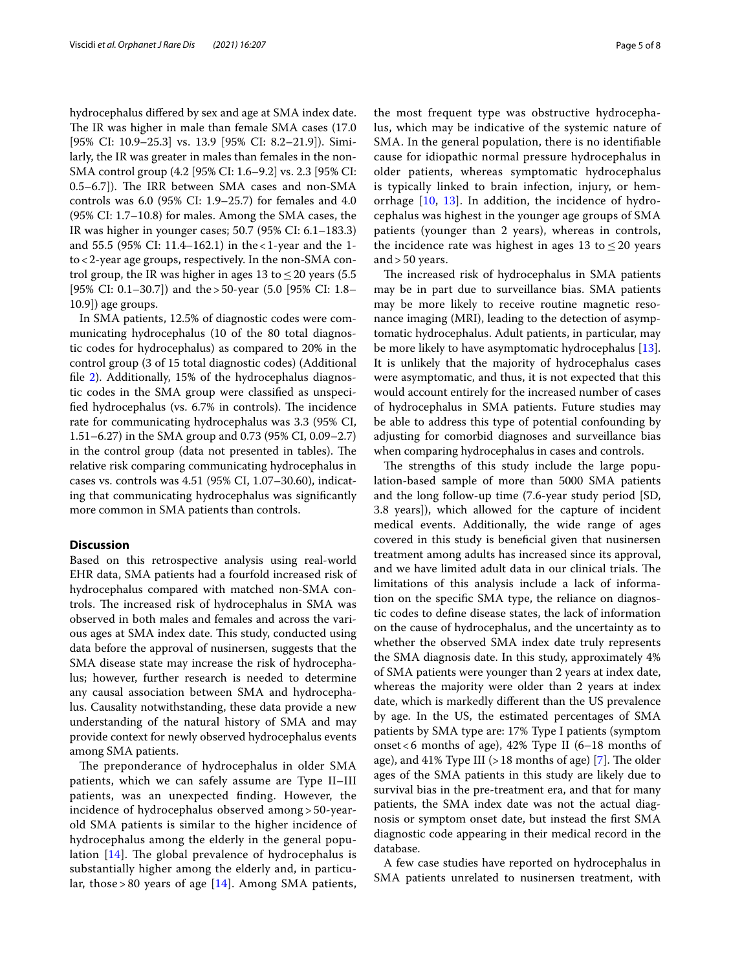hydrocephalus difered by sex and age at SMA index date. The IR was higher in male than female SMA cases (17.0) [95% CI: 10.9–25.3] vs. 13.9 [95% CI: 8.2–21.9]). Similarly, the IR was greater in males than females in the non-SMA control group (4.2 [95% CI: 1.6–9.2] vs. 2.3 [95% CI: 0.5–6.7]). The IRR between SMA cases and non-SMA controls was 6.0 (95% CI: 1.9–25.7) for females and 4.0 (95% CI: 1.7–10.8) for males. Among the SMA cases, the IR was higher in younger cases; 50.7 (95% CI: 6.1–183.3) and 55.5 (95% CI: 11.4–162.1) in the<1-year and the 1 to<2-year age groups, respectively. In the non-SMA control group, the IR was higher in ages 13 to  $\leq$  20 years (5.5) [95% CI: 0.1–30.7]) and the>50-year (5.0 [95% CI: 1.8– 10.9]) age groups.

In SMA patients, 12.5% of diagnostic codes were communicating hydrocephalus (10 of the 80 total diagnostic codes for hydrocephalus) as compared to 20% in the control group (3 of 15 total diagnostic codes) (Additional file [2\)](#page-6-15). Additionally, 15% of the hydrocephalus diagnostic codes in the SMA group were classifed as unspecified hydrocephalus (vs. 6.7% in controls). The incidence rate for communicating hydrocephalus was 3.3 (95% CI, 1.51–6.27) in the SMA group and 0.73 (95% CI, 0.09–2.7) in the control group (data not presented in tables). The relative risk comparing communicating hydrocephalus in cases vs. controls was 4.51 (95% CI, 1.07–30.60), indicating that communicating hydrocephalus was signifcantly more common in SMA patients than controls.

# **Discussion**

Based on this retrospective analysis using real-world EHR data, SMA patients had a fourfold increased risk of hydrocephalus compared with matched non-SMA controls. The increased risk of hydrocephalus in SMA was observed in both males and females and across the various ages at SMA index date. This study, conducted using data before the approval of nusinersen, suggests that the SMA disease state may increase the risk of hydrocephalus; however, further research is needed to determine any causal association between SMA and hydrocephalus. Causality notwithstanding, these data provide a new understanding of the natural history of SMA and may provide context for newly observed hydrocephalus events among SMA patients.

The preponderance of hydrocephalus in older SMA patients, which we can safely assume are Type II–III patients, was an unexpected fnding. However, the incidence of hydrocephalus observed among > 50-yearold SMA patients is similar to the higher incidence of hydrocephalus among the elderly in the general population  $[14]$  $[14]$ . The global prevalence of hydrocephalus is substantially higher among the elderly and, in particular, those > 80 years of age  $[14]$  $[14]$ . Among SMA patients, the most frequent type was obstructive hydrocephalus, which may be indicative of the systemic nature of SMA. In the general population, there is no identifable cause for idiopathic normal pressure hydrocephalus in older patients, whereas symptomatic hydrocephalus is typically linked to brain infection, injury, or hemorrhage [[10,](#page-6-8) [13](#page-6-11)]. In addition, the incidence of hydrocephalus was highest in the younger age groups of SMA patients (younger than 2 years), whereas in controls, the incidence rate was highest in ages 13 to  $\leq$  20 years and > 50 years.

The increased risk of hydrocephalus in SMA patients may be in part due to surveillance bias. SMA patients may be more likely to receive routine magnetic resonance imaging (MRI), leading to the detection of asymptomatic hydrocephalus. Adult patients, in particular, may be more likely to have asymptomatic hydrocephalus [\[13](#page-6-11)]. It is unlikely that the majority of hydrocephalus cases were asymptomatic, and thus, it is not expected that this would account entirely for the increased number of cases of hydrocephalus in SMA patients. Future studies may be able to address this type of potential confounding by adjusting for comorbid diagnoses and surveillance bias when comparing hydrocephalus in cases and controls.

The strengths of this study include the large population-based sample of more than 5000 SMA patients and the long follow-up time (7.6-year study period [SD, 3.8 years]), which allowed for the capture of incident medical events. Additionally, the wide range of ages covered in this study is benefcial given that nusinersen treatment among adults has increased since its approval, and we have limited adult data in our clinical trials. The limitations of this analysis include a lack of information on the specifc SMA type, the reliance on diagnostic codes to defne disease states, the lack of information on the cause of hydrocephalus, and the uncertainty as to whether the observed SMA index date truly represents the SMA diagnosis date. In this study, approximately 4% of SMA patients were younger than 2 years at index date, whereas the majority were older than 2 years at index date, which is markedly diferent than the US prevalence by age. In the US, the estimated percentages of SMA patients by SMA type are: 17% Type I patients (symptom onset  $< 6$  months of age), 42% Type II (6–18 months of age), and 41% Type III ( $>18$  months of age) [[7\]](#page-6-5). The older ages of the SMA patients in this study are likely due to survival bias in the pre-treatment era, and that for many patients, the SMA index date was not the actual diagnosis or symptom onset date, but instead the frst SMA diagnostic code appearing in their medical record in the database.

A few case studies have reported on hydrocephalus in SMA patients unrelated to nusinersen treatment, with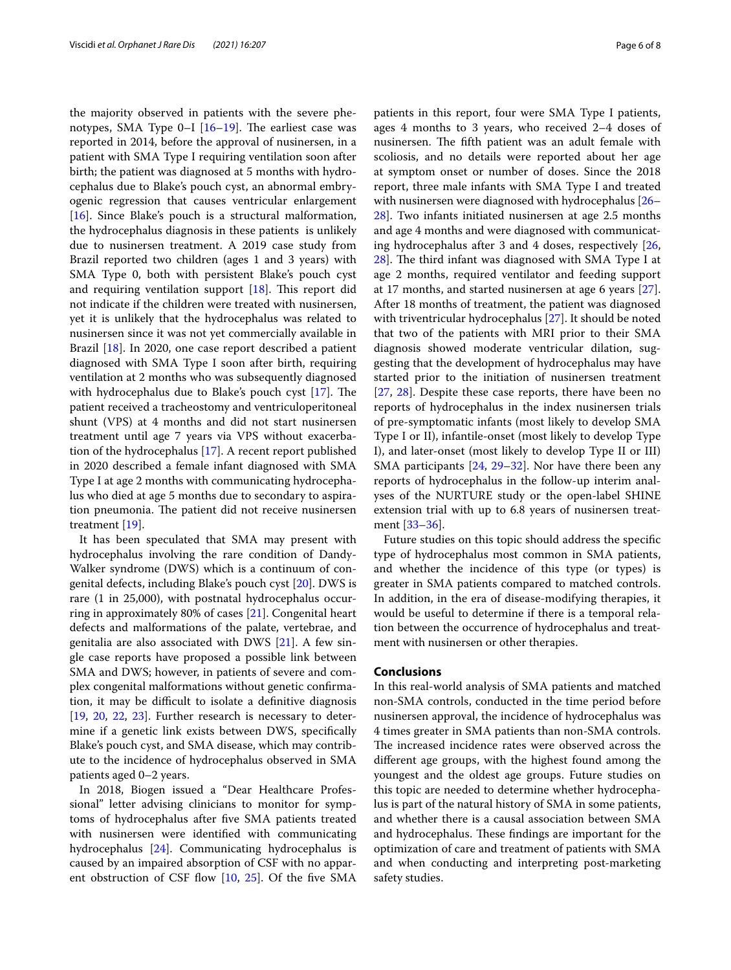the majority observed in patients with the severe phenotypes, SMA Type  $0-I$  [\[16–](#page-6-16)[19\]](#page-6-17). The earliest case was reported in 2014, before the approval of nusinersen, in a patient with SMA Type I requiring ventilation soon after birth; the patient was diagnosed at 5 months with hydrocephalus due to Blake's pouch cyst, an abnormal embryogenic regression that causes ventricular enlargement [[16\]](#page-6-16). Since Blake's pouch is a structural malformation, the hydrocephalus diagnosis in these patients is unlikely due to nusinersen treatment. A 2019 case study from Brazil reported two children (ages 1 and 3 years) with SMA Type 0, both with persistent Blake's pouch cyst and requiring ventilation support  $[18]$  $[18]$ . This report did not indicate if the children were treated with nusinersen, yet it is unlikely that the hydrocephalus was related to nusinersen since it was not yet commercially available in Brazil [\[18\]](#page-6-18). In 2020, one case report described a patient diagnosed with SMA Type I soon after birth, requiring ventilation at 2 months who was subsequently diagnosed with hydrocephalus due to Blake's pouch cyst  $[17]$  $[17]$ . The patient received a tracheostomy and ventriculoperitoneal shunt (VPS) at 4 months and did not start nusinersen treatment until age 7 years via VPS without exacerbation of the hydrocephalus [[17\]](#page-6-19). A recent report published in 2020 described a female infant diagnosed with SMA Type I at age 2 months with communicating hydrocephalus who died at age 5 months due to secondary to aspiration pneumonia. The patient did not receive nusinersen treatment [[19](#page-6-17)].

It has been speculated that SMA may present with hydrocephalus involving the rare condition of Dandy-Walker syndrome (DWS) which is a continuum of congenital defects, including Blake's pouch cyst [[20](#page-6-20)]. DWS is rare (1 in 25,000), with postnatal hydrocephalus occurring in approximately 80% of cases [[21\]](#page-6-21). Congenital heart defects and malformations of the palate, vertebrae, and genitalia are also associated with DWS  $[21]$  $[21]$  $[21]$ . A few single case reports have proposed a possible link between SMA and DWS; however, in patients of severe and complex congenital malformations without genetic confrmation, it may be difficult to isolate a definitive diagnosis [[19,](#page-6-17) [20,](#page-6-20) [22,](#page-6-22) [23\]](#page-6-23). Further research is necessary to determine if a genetic link exists between DWS, specifcally Blake's pouch cyst, and SMA disease, which may contribute to the incidence of hydrocephalus observed in SMA patients aged 0–2 years.

In 2018, Biogen issued a "Dear Healthcare Professional" letter advising clinicians to monitor for symptoms of hydrocephalus after fve SMA patients treated with nusinersen were identifed with communicating hydrocephalus [\[24](#page-6-24)]. Communicating hydrocephalus is caused by an impaired absorption of CSF with no appar-ent obstruction of CSF flow [\[10](#page-6-8), [25](#page-6-25)]. Of the five SMA patients in this report, four were SMA Type I patients, ages 4 months to 3 years, who received 2–4 doses of nusinersen. The fifth patient was an adult female with scoliosis, and no details were reported about her age at symptom onset or number of doses. Since the 2018 report, three male infants with SMA Type I and treated with nusinersen were diagnosed with hydrocephalus [[26–](#page-6-26) [28\]](#page-7-0). Two infants initiated nusinersen at age 2.5 months and age 4 months and were diagnosed with communicating hydrocephalus after 3 and 4 doses, respectively [[26](#page-6-26),  $28$ ]. The third infant was diagnosed with SMA Type I at age 2 months, required ventilator and feeding support at 17 months, and started nusinersen at age 6 years [\[27](#page-7-1)]. After 18 months of treatment, the patient was diagnosed with triventricular hydrocephalus [\[27\]](#page-7-1). It should be noted that two of the patients with MRI prior to their SMA diagnosis showed moderate ventricular dilation, suggesting that the development of hydrocephalus may have started prior to the initiation of nusinersen treatment [[27,](#page-7-1) [28](#page-7-0)]. Despite these case reports, there have been no reports of hydrocephalus in the index nusinersen trials of pre-symptomatic infants (most likely to develop SMA Type I or II), infantile-onset (most likely to develop Type I), and later-onset (most likely to develop Type II or III) SMA participants [\[24,](#page-6-24) [29](#page-7-2)[–32](#page-7-3)]. Nor have there been any reports of hydrocephalus in the follow-up interim analyses of the NURTURE study or the open-label SHINE extension trial with up to 6.8 years of nusinersen treatment [[33](#page-7-4)[–36](#page-7-5)].

Future studies on this topic should address the specifc type of hydrocephalus most common in SMA patients, and whether the incidence of this type (or types) is greater in SMA patients compared to matched controls. In addition, in the era of disease-modifying therapies, it would be useful to determine if there is a temporal relation between the occurrence of hydrocephalus and treatment with nusinersen or other therapies.

## **Conclusions**

In this real-world analysis of SMA patients and matched non-SMA controls, conducted in the time period before nusinersen approval, the incidence of hydrocephalus was 4 times greater in SMA patients than non-SMA controls. The increased incidence rates were observed across the diferent age groups, with the highest found among the youngest and the oldest age groups. Future studies on this topic are needed to determine whether hydrocephalus is part of the natural history of SMA in some patients, and whether there is a causal association between SMA and hydrocephalus. These findings are important for the optimization of care and treatment of patients with SMA and when conducting and interpreting post-marketing safety studies.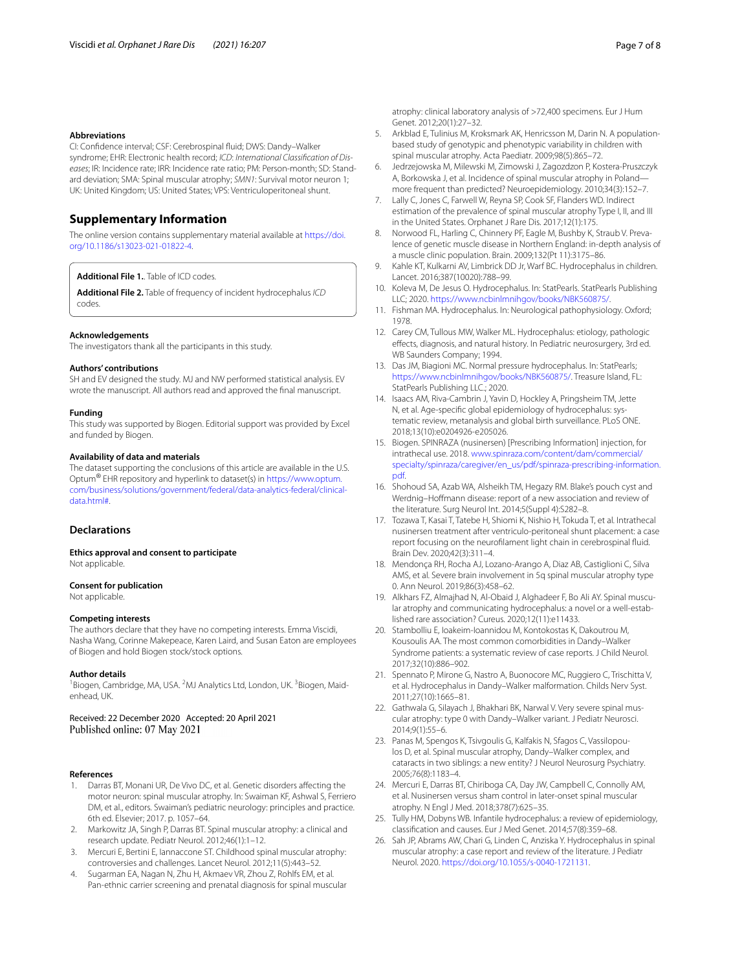#### **Abbreviations**

CI: Confdence interval; CSF: Cerebrospinal fuid; DWS: Dandy–Walker syndrome; EHR: Electronic health record; *ICD*: *International Classifcation of Diseases*; IR: Incidence rate; IRR: Incidence rate ratio; PM: Person-month; SD: Standard deviation; SMA: Spinal muscular atrophy; *SMN1*: Survival motor neuron 1; UK: United Kingdom; US: United States; VPS: Ventriculoperitoneal shunt.

# **Supplementary Information**

The online version contains supplementary material available at [https://doi.](https://doi.org/10.1186/s13023-021-01822-4) [org/10.1186/s13023-021-01822-4](https://doi.org/10.1186/s13023-021-01822-4).

<span id="page-6-15"></span><span id="page-6-14"></span>**Additional File 1.**. Table of ICD codes.

**Additional File 2.** Table of frequency of incident hydrocephalus *ICD* codes.

#### **Acknowledgements**

The investigators thank all the participants in this study.

#### **Authors' contributions**

SH and EV designed the study. MJ and NW performed statistical analysis. EV wrote the manuscript. All authors read and approved the fnal manuscript.

#### **Funding**

This study was supported by Biogen. Editorial support was provided by Excel and funded by Biogen.

# **Availability of data and materials**

The dataset supporting the conclusions of this article are available in the U.S. Optum® EHR repository and hyperlink to dataset(s) in [https://www.optum.](https://www.optum.com/business/solutions/government/federal/data-analytics-federal/clinical-data.html#) [com/business/solutions/government/federal/data-analytics-federal/clinical](https://www.optum.com/business/solutions/government/federal/data-analytics-federal/clinical-data.html#)[data.html#.](https://www.optum.com/business/solutions/government/federal/data-analytics-federal/clinical-data.html#)

# **Declarations**

**Ethics approval and consent to participate** Not applicable.

# **Consent for publication**

Not applicable.

#### **Competing interests**

The authors declare that they have no competing interests. Emma Viscidi, Nasha Wang, Corinne Makepeace, Karen Laird, and Susan Eaton are employees of Biogen and hold Biogen stock/stock options.

#### **Author details**

<sup>1</sup> Biogen, Cambridge, MA, USA. <sup>2</sup>MJ Analytics Ltd, London, UK. <sup>3</sup> Biogen, Maidenhead, UK.

Received: 22 December 2020 Accepted: 20 April 2021 Published online: 07 May 2021

## **References**

- <span id="page-6-0"></span>1. Darras BT, Monani UR, De Vivo DC, et al. Genetic disorders afecting the motor neuron: spinal muscular atrophy. In: Swaiman KF, Ashwal S, Ferriero DM, et al., editors. Swaiman's pediatric neurology: principles and practice. 6th ed. Elsevier; 2017. p. 1057–64.
- <span id="page-6-1"></span>2. Markowitz JA, Singh P, Darras BT. Spinal muscular atrophy: a clinical and research update. Pediatr Neurol. 2012;46(1):1–12.
- <span id="page-6-2"></span>3. Mercuri E, Bertini E, Iannaccone ST. Childhood spinal muscular atrophy: controversies and challenges. Lancet Neurol. 2012;11(5):443–52.
- <span id="page-6-3"></span>4. Sugarman EA, Nagan N, Zhu H, Akmaev VR, Zhou Z, Rohlfs EM, et al. Pan-ethnic carrier screening and prenatal diagnosis for spinal muscular

atrophy: clinical laboratory analysis of >72,400 specimens. Eur J Hum Genet. 2012;20(1):27–32.

- <span id="page-6-4"></span>5. Arkblad E, Tulinius M, Kroksmark AK, Henricsson M, Darin N. A populationbased study of genotypic and phenotypic variability in children with spinal muscular atrophy. Acta Paediatr. 2009;98(5):865–72.
- 6. Jedrzejowska M, Milewski M, Zimowski J, Zagozdzon P, Kostera-Pruszczyk A, Borkowska J, et al. Incidence of spinal muscular atrophy in Poland more frequent than predicted? Neuroepidemiology. 2010;34(3):152–7.
- <span id="page-6-5"></span>Lally C, Jones C, Farwell W, Reyna SP, Cook SF, Flanders WD. Indirect estimation of the prevalence of spinal muscular atrophy Type I, II, and III in the United States. Orphanet J Rare Dis. 2017;12(1):175.
- <span id="page-6-6"></span>8. Norwood FL, Harling C, Chinnery PF, Eagle M, Bushby K, Straub V. Prevalence of genetic muscle disease in Northern England: in-depth analysis of a muscle clinic population. Brain. 2009;132(Pt 11):3175–86.
- <span id="page-6-7"></span>9. Kahle KT, Kulkarni AV, Limbrick DD Jr, Warf BC. Hydrocephalus in children. Lancet. 2016;387(10020):788–99.
- <span id="page-6-8"></span>10. Koleva M, De Jesus O. Hydrocephalus. In: StatPearls. StatPearls Publishing LLC; 2020. [https://www.ncbinlmnihgov/books/NBK560875/.](https://www.ncbinlmnihgov/books/NBK560875/)
- <span id="page-6-9"></span>11. Fishman MA. Hydrocephalus. In: Neurological pathophysiology. Oxford; 1978.
- <span id="page-6-10"></span>12. Carey CM, Tullous MW, Walker ML. Hydrocephalus: etiology, pathologic efects, diagnosis, and natural history. In Pediatric neurosurgery, 3rd ed. WB Saunders Company; 1994.
- <span id="page-6-11"></span>13. Das JM, Biagioni MC. Normal pressure hydrocephalus. In: StatPearls; <https://www.ncbinlmnihgov/books/NBK560875/>. Treasure Island, FL: StatPearls Publishing LLC.; 2020.
- <span id="page-6-12"></span>14. Isaacs AM, Riva-Cambrin J, Yavin D, Hockley A, Pringsheim TM, Jette N, et al. Age-specifc global epidemiology of hydrocephalus: systematic review, metanalysis and global birth surveillance. PLoS ONE. 2018;13(10):e0204926-e205026.
- <span id="page-6-13"></span>15. Biogen. SPINRAZA (nusinersen) [Prescribing Information] injection, for intrathecal use. 2018. [www.spinraza.com/content/dam/commercial/](http://www.spinraza.com/content/dam/commercial/specialty/spinraza/caregiver/en_us/pdf/spinraza-prescribing-information.pdf) [specialty/spinraza/caregiver/en\\_us/pdf/spinraza-prescribing-information.](http://www.spinraza.com/content/dam/commercial/specialty/spinraza/caregiver/en_us/pdf/spinraza-prescribing-information.pdf) [pdf.](http://www.spinraza.com/content/dam/commercial/specialty/spinraza/caregiver/en_us/pdf/spinraza-prescribing-information.pdf)
- <span id="page-6-16"></span>16. Shohoud SA, Azab WA, Alsheikh TM, Hegazy RM. Blake's pouch cyst and Werdnig–Hofmann disease: report of a new association and review of the literature. Surg Neurol Int. 2014;5(Suppl 4):S282–8.
- <span id="page-6-19"></span>17. Tozawa T, Kasai T, Tatebe H, Shiomi K, Nishio H, Tokuda T, et al. Intrathecal nusinersen treatment after ventriculo-peritoneal shunt placement: a case report focusing on the neuroflament light chain in cerebrospinal fuid. Brain Dev. 2020;42(3):311–4.
- <span id="page-6-18"></span>18. Mendonça RH, Rocha AJ, Lozano-Arango A, Diaz AB, Castiglioni C, Silva AMS, et al. Severe brain involvement in 5q spinal muscular atrophy type 0. Ann Neurol. 2019;86(3):458–62.
- <span id="page-6-17"></span>19. Alkhars FZ, Almajhad N, Al-Obaid J, Alghadeer F, Bo Ali AY. Spinal muscular atrophy and communicating hydrocephalus: a novel or a well-established rare association? Cureus. 2020;12(11):e11433.
- <span id="page-6-20"></span>20. Stambolliu E, Ioakeim-Ioannidou M, Kontokostas K, Dakoutrou M, Kousoulis AA. The most common comorbidities in Dandy–Walker Syndrome patients: a systematic review of case reports. J Child Neurol. 2017;32(10):886–902.
- <span id="page-6-21"></span>21. Spennato P, Mirone G, Nastro A, Buonocore MC, Ruggiero C, Trischitta V, et al. Hydrocephalus in Dandy–Walker malformation. Childs Nerv Syst. 2011;27(10):1665–81.
- <span id="page-6-22"></span>22. Gathwala G, Silayach J, Bhakhari BK, Narwal V. Very severe spinal muscular atrophy: type 0 with Dandy–Walker variant. J Pediatr Neurosci. 2014;9(1):55–6.
- <span id="page-6-23"></span>23. Panas M, Spengos K, Tsivgoulis G, Kalfakis N, Sfagos C, Vassilopoulos D, et al. Spinal muscular atrophy, Dandy–Walker complex, and cataracts in two siblings: a new entity? J Neurol Neurosurg Psychiatry. 2005;76(8):1183–4.
- <span id="page-6-24"></span>24. Mercuri E, Darras BT, Chiriboga CA, Day JW, Campbell C, Connolly AM, et al. Nusinersen versus sham control in later-onset spinal muscular atrophy. N Engl J Med. 2018;378(7):625–35.
- <span id="page-6-25"></span>25. Tully HM, Dobyns WB. Infantile hydrocephalus: a review of epidemiology, classifcation and causes. Eur J Med Genet. 2014;57(8):359–68.
- <span id="page-6-26"></span>26. Sah JP, Abrams AW, Chari G, Linden C, Anziska Y. Hydrocephalus in spinal muscular atrophy: a case report and review of the literature. J Pediatr Neurol. 2020. [https://doi.org/10.1055/s-0040-1721131.](https://doi.org/10.1055/s-0040-1721131)